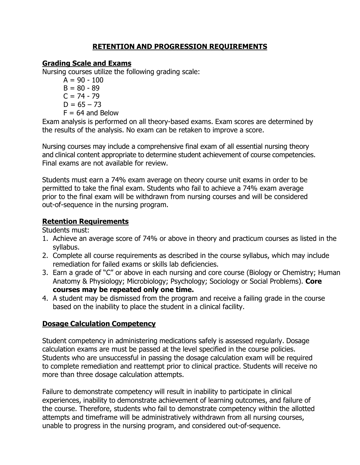## **RETENTION AND PROGRESSION REQUIREMENTS**

## **Grading Scale and Exams**

Nursing courses utilize the following grading scale:

 $A = 90 - 100$  $B = 80 - 89$  $C = 74 - 79$ 

- 
- $D = 65 73$
- $F = 64$  and Below

Exam analysis is performed on all theory-based exams. Exam scores are determined by the results of the analysis. No exam can be retaken to improve a score.

Nursing courses may include a comprehensive final exam of all essential nursing theory and clinical content appropriate to determine student achievement of course competencies. Final exams are not available for review.

Students must earn a 74% exam average on theory course unit exams in order to be permitted to take the final exam. Students who fail to achieve a 74% exam average prior to the final exam will be withdrawn from nursing courses and will be considered out-of-sequence in the nursing program.

## **Retention Requirements**

Students must:

- 1. Achieve an average score of 74% or above in theory and practicum courses as listed in the syllabus.
- 2. Complete all course requirements as described in the course syllabus, which may include remediation for failed exams or skills lab deficiencies.
- 3. Earn a grade of "C" or above in each nursing and core course (Biology or Chemistry; Human Anatomy & Physiology; Microbiology; Psychology; Sociology or Social Problems). **Core courses may be repeated only one time.**
- 4. A student may be dismissed from the program and receive a failing grade in the course based on the inability to place the student in a clinical facility.

# **Dosage Calculation Competency**

Student competency in administering medications safely is assessed regularly. Dosage calculation exams are must be passed at the level specified in the course policies. Students who are unsuccessful in passing the dosage calculation exam will be required to complete remediation and reattempt prior to clinical practice. Students will receive no more than three dosage calculation attempts.

Failure to demonstrate competency will result in inability to participate in clinical experiences, inability to demonstrate achievement of learning outcomes, and failure of the course. Therefore, students who fail to demonstrate competency within the allotted attempts and timeframe will be administratively withdrawn from all nursing courses, unable to progress in the nursing program, and considered out-of-sequence.